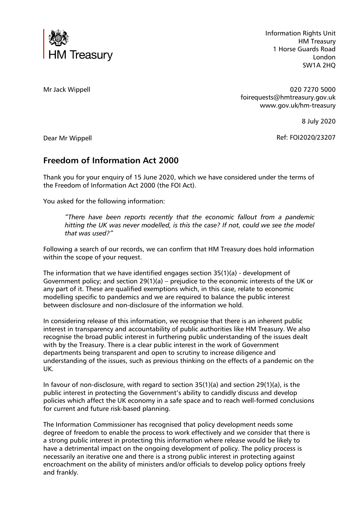

Information Rights Unit HM Treasury 1 Horse Guards Road London SW1A 2HQ

Mr Jack Wippell

020 7270 5000 foirequests@hmtreasury.gov.uk www.gov.uk/hm-treasury

8 July 2020

Ref: FOI2020/23207

Dear Mr Wippell

## **Freedom of Information Act 2000**

Thank you for your enquiry of 15 June 2020, which we have considered under the terms of the Freedom of Information Act 2000 (the FOI Act).

You asked for the following information:

*"There have been reports recently that the economic fallout from a pandemic hitting the UK was never modelled, is this the case? If not, could we see the model that was used?"*

Following a search of our records, we can confirm that HM Treasury does hold information within the scope of your request.

The information that we have identified engages section 35(1)(a) - development of Government policy; and section 29(1)(a) – prejudice to the economic interests of the UK or any part of it. These are qualified exemptions which, in this case, relate to economic modelling specific to pandemics and we are required to balance the public interest between disclosure and non-disclosure of the information we hold.

In considering release of this information, we recognise that there is an inherent public interest in transparency and accountability of public authorities like HM Treasury. We also recognise the broad public interest in furthering public understanding of the issues dealt with by the Treasury. There is a clear public interest in the work of Government departments being transparent and open to scrutiny to increase diligence and understanding of the issues, such as previous thinking on the effects of a pandemic on the UK.

In favour of non-disclosure, with regard to section 35(1)(a) and section 29(1)(a), is the public interest in protecting the Government's ability to candidly discuss and develop policies which affect the UK economy in a safe space and to reach well-formed conclusions for current and future risk-based planning.

The Information Commissioner has recognised that policy development needs some degree of freedom to enable the process to work effectively and we consider that there is a strong public interest in protecting this information where release would be likely to have a detrimental impact on the ongoing development of policy. The policy process is necessarily an iterative one and there is a strong public interest in protecting against encroachment on the ability of ministers and/or officials to develop policy options freely and frankly.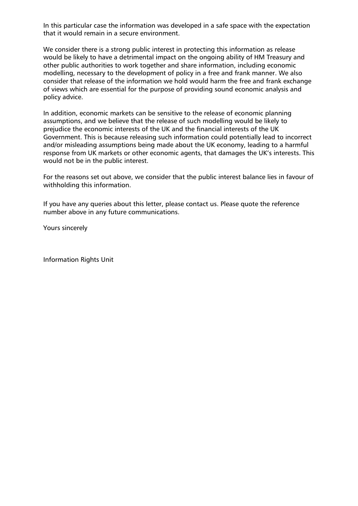In this particular case the information was developed in a safe space with the expectation that it would remain in a secure environment.

We consider there is a strong public interest in protecting this information as release would be likely to have a detrimental impact on the ongoing ability of HM Treasury and other public authorities to work together and share information, including economic modelling, necessary to the development of policy in a free and frank manner. We also consider that release of the information we hold would harm the free and frank exchange of views which are essential for the purpose of providing sound economic analysis and policy advice.

In addition, economic markets can be sensitive to the release of economic planning assumptions, and we believe that the release of such modelling would be likely to prejudice the economic interests of the UK and the financial interests of the UK Government. This is because releasing such information could potentially lead to incorrect and/or misleading assumptions being made about the UK economy, leading to a harmful response from UK markets or other economic agents, that damages the UK's interests. This would not be in the public interest.

For the reasons set out above, we consider that the public interest balance lies in favour of withholding this information.

If you have any queries about this letter, please contact us. Please quote the reference number above in any future communications.

Yours sincerely

Information Rights Unit